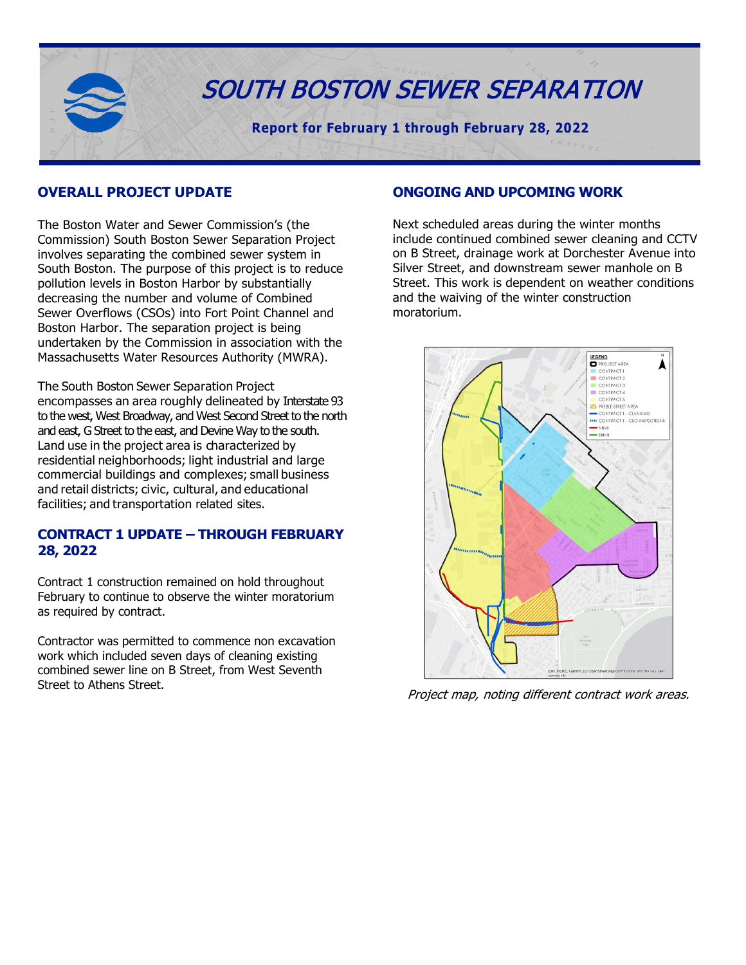

#### **OVERALL PROJECT UPDATE**

The Boston Water and Sewer Commission's (the Commission) South Boston Sewer Separation Project involves separating the combined sewer system in South Boston. The purpose of this project is to reduce pollution levels in Boston Harbor by substantially decreasing the number and volume of Combined Sewer Overflows (CSOs) into Fort Point Channel and Boston Harbor. The separation project is being undertaken by the Commission in association with the Massachusetts Water Resources Authority (MWRA).

The South Boston Sewer Separation Project encompasses an area roughly delineated by Interstate 93 to the west, West Broadway, and West Second Street to the north and east, G Street to the east, and Devine Way to the south. Land use in the project area is characterized by residential neighborhoods; light industrial and large commercial buildings and complexes; small business and retail districts; civic, cultural, and educational facilities; and transportation related sites.

#### **CONTRACT 1 UPDATE – THROUGH FEBRUARY 28, 2022**

Contract 1 construction remained on hold throughout February to continue to observe the winter moratorium as required by contract.

Contractor was permitted to commence non excavation work which included seven days of cleaning existing combined sewer line on B Street, from West Seventh Street to Athens Street.

#### **ONGOING AND UPCOMING WORK**

Next scheduled areas during the winter months include continued combined sewer cleaning and CCTV on B Street, drainage work at Dorchester Avenue into Silver Street, and downstream sewer manhole on B Street. This work is dependent on weather conditions and the waiving of the winter construction moratorium.



Project map, noting different contract work areas.